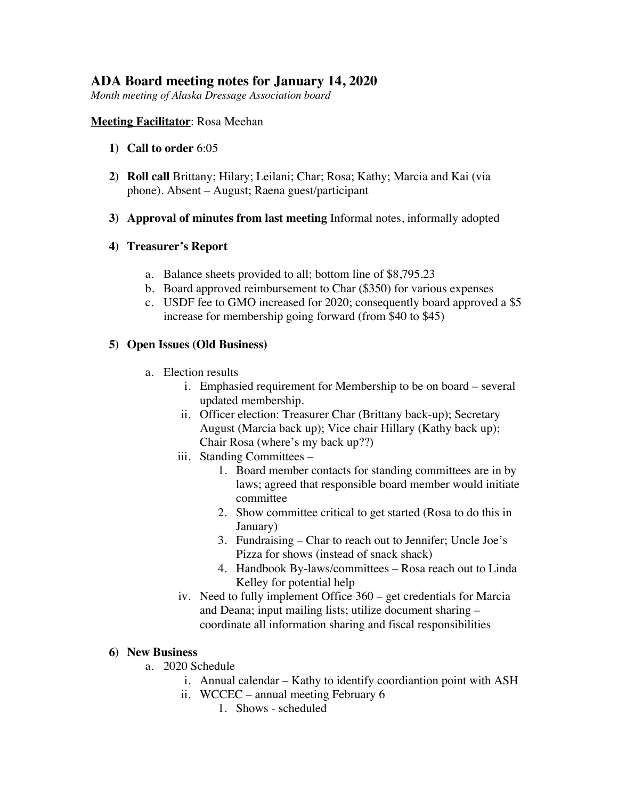# **ADA Board meeting notes for January 14, 2020**

*Month meeting of Alaska Dressage Association board*

## **Meeting Facilitator**: Rosa Meehan

- **1) Call to order** 6:05
- **2) Roll call** Brittany; Hilary; Leilani; Char; Rosa; Kathy; Marcia and Kai (via phone). Absent – August; Raena guest/participant
- **3) Approval of minutes from last meeting** Informal notes, informally adopted

## **4) Treasurer's Report**

- a. Balance sheets provided to all; bottom line of \$8,795.23
- b. Board approved reimbursement to Char (\$350) for various expenses
- c. USDF fee to GMO increased for 2020; consequently board approved a \$5 increase for membership going forward (from \$40 to \$45)

## **5) Open Issues (Old Business)**

- a. Election results
	- i. Emphasied requirement for Membership to be on board several updated membership.
	- ii. Officer election: Treasurer Char (Brittany back-up); Secretary August (Marcia back up); Vice chair Hillary (Kathy back up); Chair Rosa (where's my back up??)
	- iii. Standing Committees
		- 1. Board member contacts for standing committees are in by laws; agreed that responsible board member would initiate committee
		- 2. Show committee critical to get started (Rosa to do this in January)
		- 3. Fundraising Char to reach out to Jennifer; Uncle Joe's Pizza for shows (instead of snack shack)
		- 4. Handbook By-laws/committees Rosa reach out to Linda Kelley for potential help
	- iv. Need to fully implement Office 360 get credentials for Marcia and Deana; input mailing lists; utilize document sharing – coordinate all information sharing and fiscal responsibilities

### **6) New Business**

- a. 2020 Schedule
	- i. Annual calendar Kathy to identify coordiantion point with ASH
	- ii. WCCEC annual meeting February 6
		- 1. Shows scheduled